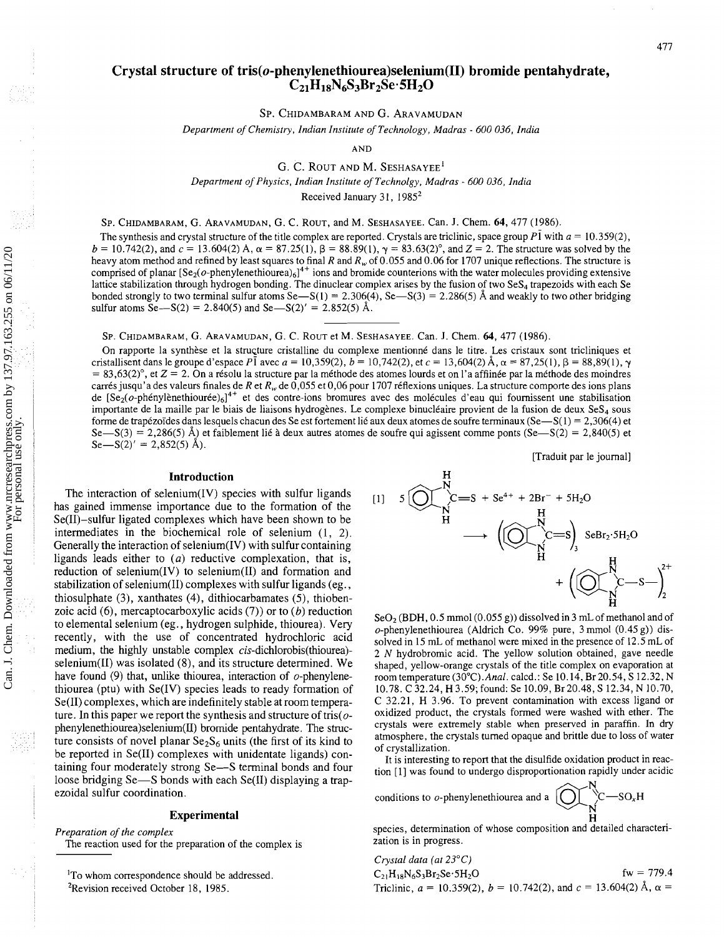#### 477

# **Crystal structure of tris(o-phenylenethiourea)selenium(II) bromide pentahydrate, CzlHlsN6S3BrzSe.5H20**

SP. CHIDAMBARAM AND G. ARAVAMUDAN

Department of Chemistry, Indian Institute of Technology, Madras - 600 036, India

AND

G. C. ROUT AND M. **SESHASAYEE'**  Department of Physics, Indian Institute of Technolgy, Madras - 600 036, India Received January 31, 1985<sup>2</sup>

SP. CHIDAMBARAM, G. ARAVAMUDAN, G. C. ROUT, and M. SESHASAYEE. Can. J. Chem. 64,477 (1986).

The synthesis and crystal structure of the title complex are reported. Crystals are triclinic, space group  $P\bar{1}$  with  $a = 10.359(2)$ ,  $b = 10.742(2)$ , and  $c = 13.604(2)$  A,  $\alpha = 87.25(1)$ ,  $\beta = 88.89(1)$ ,  $\gamma = 83.63(2)$ °, and  $Z = 2$ . The structure was solved by the heavy atom method and refined by least squares to final R and R<sub>y</sub> of 0.055 and 0.06 for 1707 unique reflections. The structure is comprised of planar  $[Se_2(\sigma$ -phenylenethiourea)<sub>6</sub>]<sup>4+</sup> ions and bromide counterions with the water molecules providing extensive lattice stabilization through hydrogen bonding. The dinuclear complex arises by the fusion of two SeS<sub>4</sub> trapezoids with each Se bonded strongly to two terminal sulfur atoms Se-S(1) = 2.306(4), Se-S(3) = 2.286(5) Å and weakly to two other bridging sulfur atoms Se $-S(2) = 2.840(5)$  and Se $-S(2)' = 2.852(5)$  Å.

SP. CHIDAMBARAM, G. ARAVAMUDAN, G. C. ROUT et M. SESHASAYEE. Can. J. Chem. 64, 477 (1986).

On rapporte la synthèse et la structure cristalline du complexe mentionné dans le titre. Les cristaux sont tricliniques et cristallisent dans le groupe d'espace PI avec  $a = 10,359(2)$ ,  $b = 10,742(2)$ , et  $c = 13,604(2)$  Å,  $\alpha = 87,25(1)$ ,  $\beta = 88,89(1)$ ,  $\gamma$  $= 83,63(2)$ °, et  $Z = 2$ . On a résolu la structure par la méthode des atomes lourds et on l'a affiinée par la méthode des moindres carrés jusqu'a des valeurs finales de R et R<sub>y</sub>, de 0,055 et 0,06 pour 1707 réflexions uniques. La structure comporte des ions plans de [Se<sub>2</sub>(o-phénylènethiourée)<sub>6</sub>]<sup>4+</sup> et des contre-ions bromures avec des molécules d'eau qui fournissent une stabilisation importante de la maille par le biais de liaisons hydrogènes. Le complexe binucléaire provient de la fusion de deux  $\text{SeS}_4$  sous forme de trapézoïdes dans lesquels chacun des Se est fortement lié aux deux atomes de soufre terminaux (Se—S(1) = 2,306(4) et  $Se-S(3) = 2,286(5)$  Å) et faiblement lié à deux autres atomes de soufre qui agissent comme ponts  $(Se-S(2) = 2,840(5)$  et  $Se-S(2)' = 2,852(5)$  Å).

[Traduit par le journal]

### **Introduction**

The interaction of selenium $(IV)$  species with sulfur ligands has gained immense importance due to the formation of the Se(II)-sulfur ligated complexes which have been shown to be intermediates in the biochemical role of selenium (1, 2). Generally the interaction of selenium(1V) with sulfur containing ligands leads either to  $(a)$  reductive complexation, that is, reduction of selenium(1V) to selenium(I1) and formation and stabilization of selenium(I1) complexes with sulfur ligands (eg., thiosulphate (3), xanthates (4), dithiocarbamates (5), thioben-zoic acid (6), mercaptocarboxylic acids (7)) or to (*b*) reduction Example the set of the thanol and of<br>to elemental selenium (eg., hydrogen sulphide, thiourea). Very<br>recently, with the use of concentrated hydrochloric acid<br>medium, the highly unstable complex *cis*-dichlorobis(thiourea). ture consists of novel planar  $Se_2S_6$  units (the first of its kind to atmosphere, the c<br>has reported in  $Se(II)$  complexes with unidented linearly on  $\frac{1}{2}$  of crystallization. be reported in Se(II) complexes with unidentate ligands) con-<br>taining four moderately strong Se—S terminal bonds and four<br>tion [1] was found to undergo disproportionation rapidly under acidic loose bridging Se-S bonds with each Se(II) displaying a trapezoidal sulfur coordination.  $\Box$  conditions to  $o$ -phenylenethiourea and a  $\Box$ 

Preparation of the complex<br>The reaction used for the preparation of the complex is zation is in progress.

<sup>1</sup>To whom correspondence should be addressed. <sup>2</sup>Revision received October 18, 1985.

111 5 ayC=S + se4\* + 2Br- + 5H20 N

medium, the nightly unstable complex *cis*-dichlorobis(thiourea)-<br>selenium(II) was isolated (8), and its structure determined. We shaped, yellow-orange crystals of the title complex on evaporation at have found (9) that, unlike thiourea, interaction of  $o$ -phenylene-<br>thiourea (ptu) with Se(IV) species leads to ready formation of 10.78. C 32.24, H 3.59; found: Se 10.09, Br 20.48, S 12.34, N 10.70, 10.78. C 32.24, H 3.59; found: Se 10.09, Br 20.48, S 12.34, N 10.70, Se(II) complexes, which are indefinitely stable at room tempera-<br>ture. In this paper we report the synthesis and structure of tris( $\alpha$  oxidized product, the crystals formed were washed with ether. The ture. In this paper we report the synthesis and structure of tris( $o$ - oxidized product, the crystals formed were washed with ether. The phenylenethiourealselenium (II) bromide pentabydrate. The struce crystals were extre phenylenethiourea)selenium(II) bromide pentahydrate. The struc-<br>ture consists of povel planer So S, units (the first of its kind to althosphere, the crystals turned opaque and brittle due to loss of water

 $C-SO<sub>x</sub>H$ **Experimental Experimental** 

 $\overline{a}$   $\overline{b}$   $\overline{c}$   $\overline{c}$   $\overline{c}$   $\overline{c}$   $\overline{c}$   $\overline{c}$   $\overline{c}$   $\overline{c}$   $\overline{c}$   $\overline{c}$   $\overline{c}$   $\overline{c}$   $\overline{c}$   $\overline{c}$   $\overline{c}$   $\overline{c}$   $\overline{c}$   $\overline{c}$   $\overline{c}$   $\overline{c}$   $\overline{c}$   $\overline{c}$   $\overline{$ 

H Preparation of the complex species, determination of whose composition and detailed characteri-

*Crystal data (at* 23<sup>o</sup>*C*)  
\nC<sub>21</sub>H<sub>18</sub>N<sub>6</sub>S<sub>3</sub>Br<sub>2</sub>Se·5H<sub>2</sub>O for  
\nTriclinic, 
$$
a = 10.359(2)
$$
,  $b = 10.742(2)$ , and  $c = 13.604(2) \text{ Å}$ ,  $\alpha =$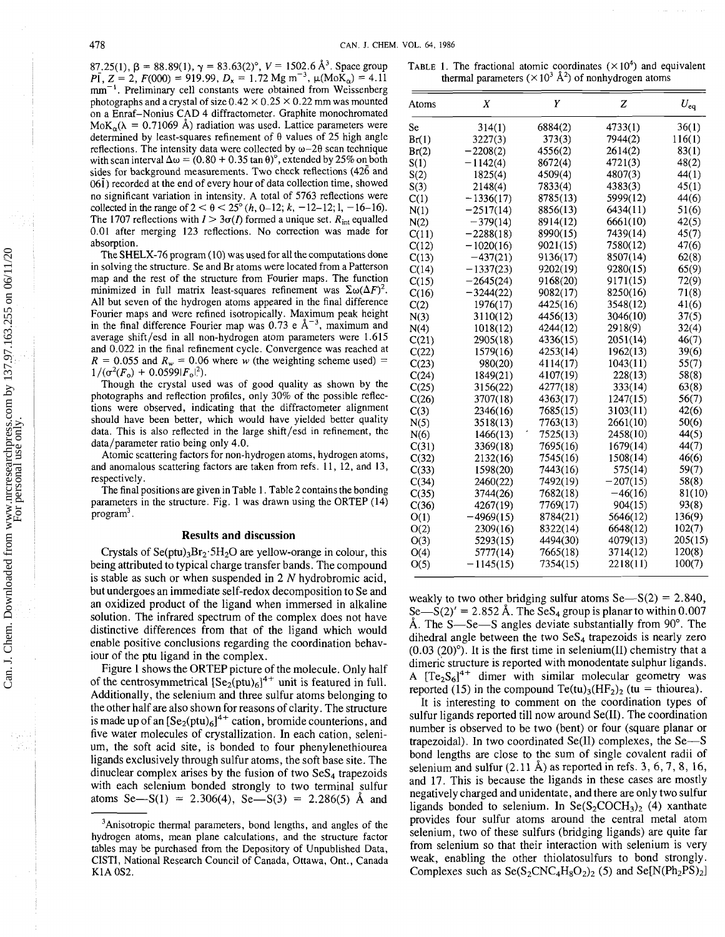87.25(1),  $\beta$  = 88.89(1),  $\gamma$  = 83.63(2)°,  $V = 1502.6 \text{ Å}^3$ . Space group  $p_1Z = 2$ ,  $F(000) = 919.99$ ,  $D_x = 1.72$  Mg m<sup>-3</sup>,  $\mu(MoK_0) = 4.11$ mm<sup>-1</sup>. Preliminary cell constants were obtained from Weissenberg photographs and a crystal of size  $0.42 \times 0.25 \times 0.22$  mm was mounted on a Enraf-Nonius CAD 4 diffractometer. Graphite monochromated  $MoK_{\alpha}(\lambda = 0.71069 \text{ Å})$  radiation was used. Lattice parameters were determined by least-squares refinement of  $\theta$  values of 25 high angle reflections. The intensity data were collected by  $\omega$ -20 scan technique with scan interval  $\Delta \omega = (0.80 + 0.35 \tan \theta)$ <sup>o</sup>, extended by 25% on both sides for background measurements. Two check reflections (426 and  $06\bar{1}$ ) recorded at the end of every hour of data collection time, showed no significant variation in intensity. A total of 5763 reflections were collected in the range of  $2 < \theta < 25^{\circ}$  (*h*, 0–12; *k*, -12–12; 1, -16–16). The 1707 reflections with  $I > 3\sigma(I)$  formed a unique set.  $R_{int}$  equalled 0.01 after merging 123 reflections. No correction was made for absorption.

The SHELX-76 program (10) was used for all the computations done in solving the structure. Se and Br atoms were located from a Patterson map and the rest of the structure from Fourier maps. The function minimized in full matrix least-squares refinement was  $\Sigma \omega(\Delta F)^2$ . All but seven of the hydrogen atoms appeared in the final difference Fourier maps and were refined isotropically. Maximum peak height in the final difference Fourier map was  $0.73$  e  $\AA^{-3}$ , maximum and average shift/esd in all non-hydrogen atom parameters were 1.615 and 0.022 in the final refinement cycle. Convergence was reached at  $R = 0.055$  and  $R_w = 0.06$  where w (the weighting scheme used) =  $1/(\sigma^2(F_o) + 0.0599|F_o|^2)$ .

Though the crystal used was of good quality as shown by the photographs and reflection profiles, only 30% of the possible reflections were observed, indicating that the diffractometer alignment should have been better, which would have yielded better quality data. This is also reflected in the large shift/esd in refinement, the data/parameter ratio being only 4.0.

Atomic scattering factors for non-hydrogen atoms, hydrogen atoms, and anomalous scattering factors are taken from refs. 11, 12, and 13, respectively.

The final positions are given in Table 1. Table 2 contains the bonding parameters in the structure. Fig. 1 was drawn using the ORTEP (14) program<sup>3</sup>.

## **Results and discussion**

Crystals of Se(ptu)<sub>3</sub>Br<sub>2</sub>.5H<sub>2</sub>O are yellow-orange in colour, this being attributed to typical charge transfer bands. The compound is stable as such or when suspended in  $2 N$  hydrobromic acid, but undergoes an immediate self-redox decomposition to Se and an oxidized product of the ligand when immersed in alkaline solution. The infrared spectrum of the complex does not have distinctive differences from that of the ligand which would enable positive conclusions regarding the coordination behaviour of the ptu ligand in the complex.

Figure 1 shows the ORTEP picture of the molecule. Only half of the centrosymmetrical  $[Se_2(ptu)_6]^{4+}$  unit is featured in full. Additionally, the selenium and three sulfur atoms belonging to the other half are also shown for reasons of clarity. The structure is made up of an  $[Se_2(\text{ptu})_6]^{4+}$  cation, bromide counterions, and five water molecules of crystallization. In each cation, selenium, the soft acid site, is bonded to four phenylenethiourea ligands exclusively through sulfur atoms, the soft base site. The dinuclear complex arises by the fusion of two  $SeS<sub>4</sub>$  trapezoids with each selenium bonded strongly to two terminal sulfur atoms Se-S(1) = 2.306(4), Se-S(3) = 2.286(5) Å and

TABLE 1. The fractional atomic coordinates  $(\times 10^4)$  and equivalent thermal parameters  $(\times 10^3 \text{ Å}^2)$  of nonhydrogen atoms

| Atoms | X           | Υ        | Z          | $U_{\rm eq}$ |
|-------|-------------|----------|------------|--------------|
| Se    | 314(1)      | 6884(2)  | 4733(1)    | 36(1)        |
| Br(1) | 3227(3)     | 373(3)   | 7944(2)    | 116(1)       |
| Br(2) | $-2208(2)$  | 4556(2)  | 2614(2)    | 83(1)        |
| S(1)  | $-1142(4)$  | 8672(4)  | 4721(3)    | 48(2)        |
| S(2)  | 1825(4)     | 4509(4)  | 4807(3)    | 44(1)        |
| S(3)  | 2148(4)     | 7833(4)  | 4383(3)    | 45(1)        |
| C(1)  | $-1336(17)$ | 8785(13) | 5999(12)   | 44(6)        |
| N(1)  | $-2517(14)$ | 8856(13) | 6434(11)   | 51(6)        |
| N(2)  | $-379(14)$  | 8914(12) | 6661(10)   | 42(5)        |
| C(11) | $-2288(18)$ | 8990(15) | 7439(14)   | 45(7)        |
| C(12) | $-1020(16)$ | 9021(15) | 7580(12)   | 47(6)        |
| C(13) | $-437(21)$  | 9136(17) | 8507(14)   | 62(8)        |
| C(14) | $-1337(23)$ | 9202(19) | 9280(15)   | 65(9)        |
| C(15) | $-2645(24)$ | 9168(20) | 9171(15)   | 72(9)        |
| C(16) | $-3244(22)$ | 9082(17) | 8250(16)   | 71(8)        |
| C(2)  | 1976(17)    | 4425(16) | 3548(12)   | 41(6)        |
| N(3)  | 3110(12)    | 4456(13) | 3046(10)   | 37(5)        |
| N(4)  | 1018(12)    | 4244(12) | 2918(9)    | 32(4)        |
| C(21) | 2905(18)    | 4336(15) | 2051(14)   | 46(7)        |
| C(22) | 1579(16)    | 4253(14) | 1962(13)   | 39(6)        |
| C(23) | 980(20)     | 4114(17) | 1043(11)   | 55(7)        |
| C(24) | 1849(21)    | 4107(19) | 228(13)    | 58(8)        |
| C(25) | 3156(22)    | 4277(18) | 333(14)    | 63(8)        |
| C(26) | 3707(18)    | 4363(17) | 1247(15)   | 56(7)        |
| C(3)  | 2346(16)    | 7685(15) | 3103(11)   | 42(6)        |
| N(5)  | 3518(13)    | 7763(13) | 2661(10)   | 50(6)        |
| N(6)  | 1466(13)    | 7525(13) | 2458(10)   | 44(5)        |
| C(31) | 3369(18)    | 7695(16) | 1679(14)   | 44(7)        |
| C(32) | 2132(16)    | 7545(16) | 1508(14)   | 46(6)        |
| C(33) | 1598(20)    | 7443(16) | 575(14)    | 59(7)        |
| C(34) | 2460(22)    | 7492(19) | $-207(15)$ | 58(8)        |
| C(35) | 3744(26)    | 7682(18) | $-46(16)$  | 81(10)       |
| C(36) | 4267(19)    | 7769(17) | 904(15)    | 93(8)        |
| O(1)  | $-4969(15)$ | 8784(21) | 5646(12)   | 136(9)       |
| O(2)  | 2309(16)    | 8322(14) | 6648(12)   | 102(7)       |
| O(3)  | 5293(15)    | 4494(30) | 4079(13)   | 205(15)      |
| O(4)  | 5777(14)    | 7665(18) | 3714(12)   | 120(8)       |
| O(5)  | $-1145(15)$ | 7354(15) | 2218(11)   | 100(7)       |

weakly to two other bridging sulfur atoms  $Se-S(2) = 2.840$ , Se-S(2)' = 2.852 Å. The SeS<sub>4</sub> group is planar to within 0.007 Å. The S—Se—S angles deviate substantially from  $90^\circ$ . The dihedral angle between the two  $SeS<sub>4</sub>$  trapezoids is nearly zero  $(0.03 (20)$ <sup>o</sup>). It is the first time in selenium(II) chemistry that a dimeric structure is reported with monodentate sulphur ligands. A  $[Te_2S_6]^{4+}$  dimer with similar molecular geometry was reported (15) in the compound Te(tu)<sub>3</sub>(HF<sub>2</sub>)<sub>2</sub> (tu = thiourea).

It is interesting to comment on the coordination types of sulfur ligands reported till now around Se(I1). The coordination number is observed to be two (bent) or four (square planar or trapezoidal). In two coordinated  $Se(II)$  complexes, the  $Se-$ S bond lengths are close to the sum of single covalent radii of selenium and sulfur  $(2.11 \text{ Å})$  as reported in refs. 3, 6, 7, 8, 16, and 17. This is because the ligands in these cases are mostly negatively charged and unidentate, and there are only two sulfur ligands bonded to selenium. In  $Se(S_2COCH_3)_2$  (4) xanthate provides four sulfur atoms around the central metal atom selenium, two of these sulfurs (bridging ligands) are quite far from selenium so that their interaction with selenium is very weak, enabling the other thiolatosulfurs to bond strongly. Complexes such as  $Se(S_2CNC_4H_8O_2)_2$  (5) and  $Se[N(Ph_2PS)_2]$ 

<sup>&</sup>lt;sup>3</sup>Anisotropic thermal parameters, bond lengths, and angles of the hydrogen atoms, mean plane calculations, and the structure factor tables may be purchased from the Depository of Unpublished Data, CISTI, National Research Council of Canada, Ottawa, Ont., Canada KIA 0S2.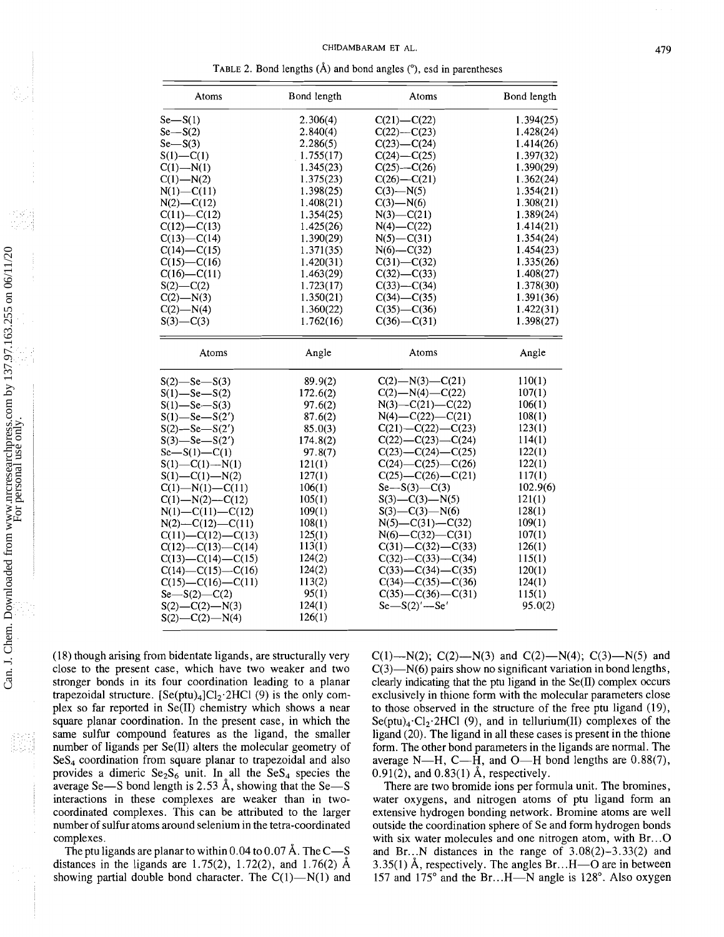TABLE 2. Bond lengths **(A)** and bond angles ("), esd in parentheses

| Atoms                       | Bond length | Atoms                       | Bond length |
|-----------------------------|-------------|-----------------------------|-------------|
| $Se-S(1)$                   | 2.306(4)    | $C(21) - C(22)$             | 1.394(25)   |
| $Se-S(2)$                   | 2.840(4)    | $C(22) - C(23)$             | 1.428(24)   |
| $Se-S(3)$                   | 2.286(5)    | $C(23) - C(24)$             | 1.414(26)   |
| $S(1) - C(1)$               | 1.755(17)   | $C(24) - C(25)$             | 1.397(32)   |
| $C(1) - N(1)$               | 1.345(23)   | $C(25) - C(26)$             | 1.390(29)   |
| $C(1) - N(2)$               | 1.375(23)   | $C(26) - C(21)$             | 1.362(24)   |
| $N(1) - C(11)$              | 1.398(25)   | $C(3)$ —N(5)                | 1.354(21)   |
| $N(2)$ —C(12)               | 1.408(21)   | $C(3)$ —N(6)                | 1.308(21)   |
| $C(11) - C(12)$             | 1.354(25)   | $N(3)$ —C(21)               | 1.389(24)   |
| $C(12) - C(13)$             | 1.425(26)   | $N(4) - C(22)$              | 1.414(21)   |
| $C(13) - C(14)$             | 1.390(29)   | $N(5) - C(31)$              | 1.354(24)   |
| $C(14) - C(15)$             | 1.371(35)   | $N(6) - C(32)$              | 1.454(23)   |
| $C(15) - C(16)$             | 1.420(31)   | $C(31) - C(32)$             | 1.335(26)   |
| $C(16) - C(11)$             | 1.463(29)   | $C(32) - C(33)$             | 1.408(27)   |
| $S(2) - C(2)$               | 1.723(17)   | $C(33) - C(34)$             | 1.378(30)   |
| $C(2)$ —N(3)                | 1.350(21)   | $C(34) - C(35)$             | 1.391(36)   |
| $C(2) - N(4)$               | 1.360(22)   | $C(35) - C(36)$             | 1.422(31)   |
| $S(3) - C(3)$               | 1.762(16)   | $C(36) - C(31)$             | 1.398(27)   |
|                             |             |                             |             |
| Atoms                       | Angle       | Atoms                       | Angle       |
| $S(2)$ —Se—S(3)             | 89.9(2)     | $C(2)$ —N(3)—C(21)          | 110(1)      |
| $S(1)$ —Se—S(2)             | 172.6(2)    | $C(2)$ —N(4)—C(22)          | 107(1)      |
| $S(1)$ —Se—S(3)             | 97.6(2)     | $N(3)$ —C(21)—C(22)         | 106(1)      |
| $S(1)$ —Se—S(2')            | 87.6(2)     | $N(4) - C(22) - C(21)$      | 108(1)      |
| $S(2)$ —Se—S $(2')$         | 85.0(3)     | $C(21) - C(22) - C(23)$     | 123(1)      |
| $S(3)$ -Se- $S(2')$         | 174.8(2)    | $C(22) - C(23) - C(24)$     | 114(1)      |
| $Se-S(1) - C(1)$            | 97.8(7)     | $C(23) - C(24) - C(25)$     | 122(1)      |
| $S(1) - C(1) - N(1)$        | 121(1)      | $C(24) - C(25) - C(26)$     | 122(1)      |
| $S(1)$ —C(1)—N(2)           | 127(1)      | $C(25)$ — $C(26)$ — $C(21)$ | 117(1)      |
| $C(1)$ —N(1)—C(11)          | 106(1)      | $Se-S(3)$ —C(3)             | 102.9(6)    |
| $C(1)$ —N(2)—C(12)          | 105(1)      | $S(3)$ —C(3)—N(5)           | 121(1)      |
| $N(1) - C(11) - C(12)$      | 109(1)      | $S(3)$ —C(3)—N(6)           | 128(1)      |
| $N(2)$ —C(12)—C(11)         | 108(1)      | $N(5)$ —C(31)—C(32)         | 109(1)      |
| $C(11) - C(12) - C(13)$     | 125(1)      | $N(6)$ —C(32)—C(31)         | 107(1)      |
| $C(12)$ — $C(13)$ — $C(14)$ | 113(1)      | $C(31) - C(32) - C(33)$     | 126(1)      |
| $C(13) - C(14) - C(15)$     | 124(2)      | $C(32) - C(33) - C(34)$     | 115(1)      |
| $C(14) - C(15) - C(16)$     | 124(2)      | $C(33) - C(34) - C(35)$     | 120(1)      |
| $C(15)$ — $C(16)$ — $C(11)$ | 113(2)      | $C(34) - C(35) - C(36)$     | 124(1)      |
| $Se-S(2) - C(2)$            | 95(1)       | $C(35) - C(36) - C(31)$     | 115(1)      |
| $S(2)$ —C(2)—N(3)           | 124(1)      | $Se-S(2)'-Se'$              | 95.0(2)     |
| $S(2) - C(2) - N(4)$        | 126(1)      |                             |             |
|                             |             |                             |             |

(18) though arising from bidentate ligands, are structurally very close to the present case, which have two weaker and two stronger bonds in its four coordination leading to a planar trapezoidal structure.  $[Se(ptu)_4]Cl_2·2HCl$  (9) is the only complex so far reported in Se(I1) chemistry which shows a near square planar coordination. In the present case, in which the same sulfur compound features as the ligand, the smaller number of ligands per Se(I1) alters the molecular geometry of  $Ses<sub>4</sub>$  coordination from square planar to trapezoidal and also provides a dimeric  $Se<sub>2</sub>S<sub>6</sub>$  unit. In all the  $SeS<sub>4</sub>$  species the average Se-S bond length is 2.53 Å, showing that the Se-S interactions in these complexes are weaker than in twocoordinated complexes. This can be attributed to the larger number of sulfur atoms around selenium in the tetra-coordinated complexes.

The ptu ligands are planar to within  $0.04$  to  $0.07$  Å. The C-S distances in the ligands are 1.75(2), 1.72(2), and 1.76(2) **A**  showing partial double bond character. The  $C(1)$ —N(1) and C(1)--N(2); C(2)--N(3) and C(2)--N(4); C(3)--N(5) and  $C(3)$ —N(6) pairs show no significant variation in bond lengths, clearly indicating that the ptu ligand in the  $Se(II)$  complex occurs exclusively in thione form with the molecular parameters close to those observed in the structure of the free ptu ligand (19),  $Se(ptu)<sub>4</sub>·Cl<sub>2</sub>·2HCl$  (9), and in tellurium(II) complexes of the ligand (20). The ligand in all these cases is present in the thione form. The other bond parameters in the ligands are normal. The average N-H, C-H, and O-H bond lengths are  $0.88(7)$ ,  $0.91(2)$ , and  $0.83(1)$  Å, respectively.

There are two bromide ions per formula unit. The bromines, water oxygens, and nitrogen atoms of ptu ligand form an extensive hydrogen bonding network. Bromine atoms are well outside the coordination sphere of Se and form hydrogen bonds with six water molecules and one nitrogen atom, with Br...O and Br...N distances in the range of  $3.08(2)-3.33(2)$  and  $3.35(1)$  Å, respectively. The angles Br...H—O are in between 157 and 175 $^{\circ}$  and the Br...H—N angle is 128 $^{\circ}$ . Also oxygen